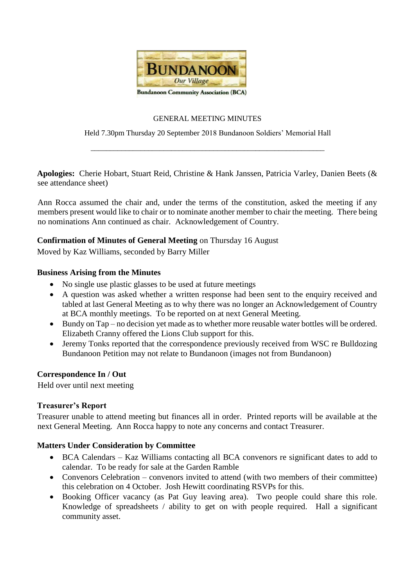

### GENERAL MEETING MINUTES

Held 7.30pm Thursday 20 September 2018 Bundanoon Soldiers' Memorial Hall

\_\_\_\_\_\_\_\_\_\_\_\_\_\_\_\_\_\_\_\_\_\_\_\_\_\_\_\_\_\_\_\_\_\_\_\_\_\_\_\_\_\_\_\_\_\_\_\_\_\_\_\_\_\_\_\_\_\_\_\_\_

**Apologies:** Cherie Hobart, Stuart Reid, Christine & Hank Janssen, Patricia Varley, Danien Beets (& see attendance sheet)

Ann Rocca assumed the chair and, under the terms of the constitution, asked the meeting if any members present would like to chair or to nominate another member to chair the meeting. There being no nominations Ann continued as chair. Acknowledgement of Country.

# **Confirmation of Minutes of General Meeting** on Thursday 16 August

Moved by Kaz Williams, seconded by Barry Miller

# **Business Arising from the Minutes**

- No single use plastic glasses to be used at future meetings
- A question was asked whether a written response had been sent to the enquiry received and tabled at last General Meeting as to why there was no longer an Acknowledgement of Country at BCA monthly meetings. To be reported on at next General Meeting.
- Bundy on Tap no decision yet made as to whether more reusable water bottles will be ordered. Elizabeth Cranny offered the Lions Club support for this.
- Jeremy Tonks reported that the correspondence previously received from WSC re Bulldozing Bundanoon Petition may not relate to Bundanoon (images not from Bundanoon)

# **Correspondence In / Out**

Held over until next meeting

# **Treasurer's Report**

Treasurer unable to attend meeting but finances all in order. Printed reports will be available at the next General Meeting. Ann Rocca happy to note any concerns and contact Treasurer.

# **Matters Under Consideration by Committee**

- BCA Calendars Kaz Williams contacting all BCA convenors re significant dates to add to calendar. To be ready for sale at the Garden Ramble
- Convenors Celebration convenors invited to attend (with two members of their committee) this celebration on 4 October. Josh Hewitt coordinating RSVPs for this.
- Booking Officer vacancy (as Pat Guy leaving area). Two people could share this role. Knowledge of spreadsheets / ability to get on with people required. Hall a significant community asset.